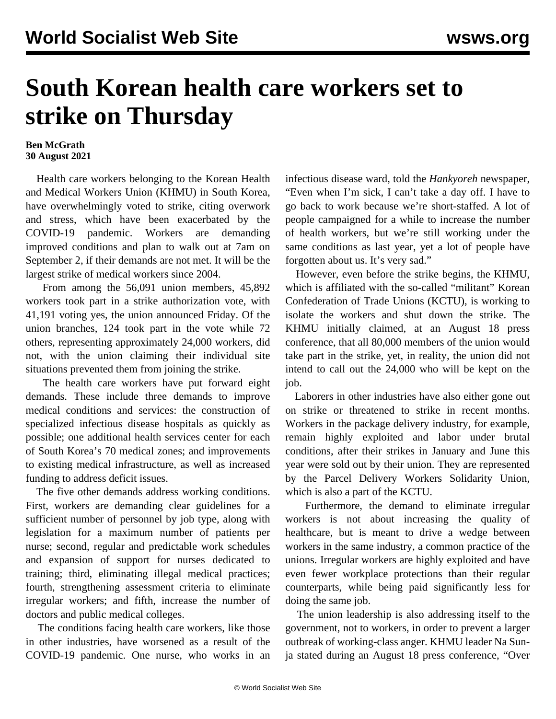## **South Korean health care workers set to strike on Thursday**

## **Ben McGrath 30 August 2021**

 Health care workers belonging to the Korean Health and Medical Workers Union (KHMU) in South Korea, have overwhelmingly voted to strike, citing overwork and stress, which have been exacerbated by the COVID-19 pandemic. Workers are demanding improved conditions and plan to walk out at 7am on September 2, if their demands are not met. It will be the largest strike of medical workers since 2004.

 From among the 56,091 union members, 45,892 workers took part in a strike authorization vote, with 41,191 voting yes, the union announced Friday. Of the union branches, 124 took part in the vote while 72 others, representing approximately 24,000 workers, did not, with the union claiming their individual site situations prevented them from joining the strike.

 The health care workers have put forward eight demands. These include three demands to improve medical conditions and services: the construction of specialized infectious disease hospitals as quickly as possible; one additional health services center for each of South Korea's 70 medical zones; and improvements to existing medical infrastructure, as well as increased funding to address deficit issues.

 The five other demands address working conditions. First, workers are demanding clear guidelines for a sufficient number of personnel by job type, along with legislation for a maximum number of patients per nurse; second, regular and predictable work schedules and expansion of support for nurses dedicated to training; third, eliminating illegal medical practices; fourth, strengthening assessment criteria to eliminate irregular workers; and fifth, increase the number of doctors and public medical colleges.

 The conditions facing health care workers, like those in other industries, have worsened as a result of the COVID-19 pandemic. One nurse, who works in an infectious disease ward, told the *Hankyoreh* newspaper, "Even when I'm sick, I can't take a day off. I have to go back to work because we're short-staffed. A lot of people campaigned for a while to increase the number of health workers, but we're still working under the same conditions as last year, yet a lot of people have forgotten about us. It's very sad."

 However, even before the strike begins, the KHMU, which is affiliated with the so-called "militant" Korean Confederation of Trade Unions (KCTU), is working to isolate the workers and shut down the strike. The KHMU initially claimed, at an August 18 press conference, that all 80,000 members of the union would take part in the strike, yet, in reality, the union did not intend to call out the 24,000 who will be kept on the job.

 Laborers in other industries have also either gone out on strike or threatened to strike in recent months. Workers in the package delivery industry, for example, remain highly exploited and labor under brutal conditions, after their strikes in January and June this year were sold out by their union. They are represented by the Parcel Delivery Workers Solidarity Union, which is also a part of the KCTU.

 Furthermore, the demand to eliminate irregular workers is not about increasing the quality of healthcare, but is meant to drive a wedge between workers in the same industry, a common practice of the unions. Irregular workers are highly exploited and have even fewer workplace protections than their regular counterparts, while being paid significantly less for doing the same job.

 The union leadership is also addressing itself to the government, not to workers, in order to prevent a larger outbreak of working-class anger. KHMU leader Na Sunja stated during an August 18 press conference, "Over